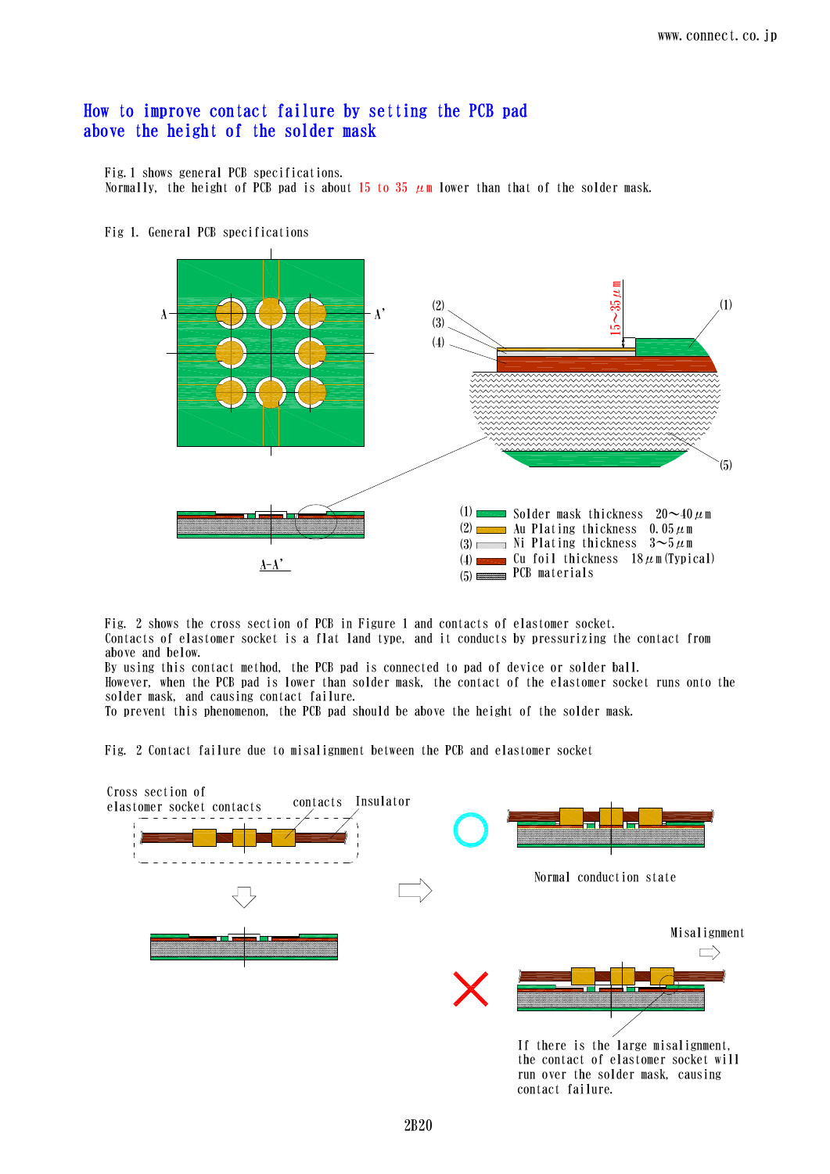## How to improve contact failure by setting the PCB pad above the height of the solder mask

Fig.1 shows general PCB specifications. Normally, the height of PCB pad is about 15 to 35  $\mu$ m lower than that of the solder mask.



Fig 1. General PCB specifications

Fig. 2 shows the cross section of PCB in Figure 1 and contacts of elastomer socket. Contacts of elastomer socket is a flat land type, and it conducts by pressurizing the contact from above and below.

By using this contact method, the PCB pad is connected to pad of device or solder ball. However, when the PCB pad is lower than solder mask, the contact of the elastomer socket runs onto the solder mask, and causing contact failure.

To prevent this phenomenon, the PCB pad should be above the height of the solder mask.

Fig. 2 Contact failure due to misalignment between the PCB and elastomer socket